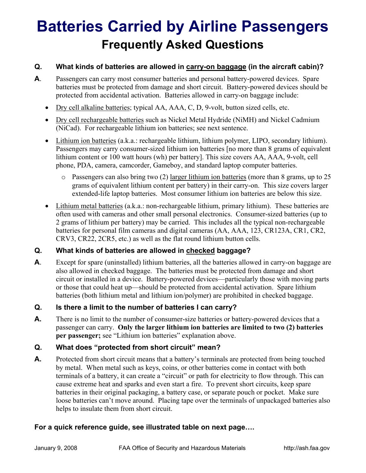# **Batteries Carried by Airline Passengers Frequently Asked Questions**

### **Q. What kinds of batteries are allowed in carry-on baggage (in the aircraft cabin)?**

- **A**. Passengers can carry most consumer batteries and personal battery-powered devices. Spare batteries must be protected from damage and short circuit. Battery-powered devices should be protected from accidental activation. Batteries allowed in carry-on baggage include:
	- Dry cell alkaline batteries; typical AA, AAA, C, D, 9-volt, button sized cells, etc.
	- Dry cell rechargeable batteries such as Nickel Metal Hydride (NiMH) and Nickel Cadmium (NiCad). For rechargeable lithium ion batteries; see next sentence.
	- Lithium ion batteries (a.k.a.: rechargeable lithium, lithium polymer, LIPO, secondary lithium). Passengers may carry consumer-sized lithium ion batteries [no more than 8 grams of equivalent lithium content or 100 watt hours (wh) per battery]. This size covers AA, AAA, 9-volt, cell phone, PDA, camera, camcorder, Gameboy, and standard laptop computer batteries.
		- o Passengers can also bring two (2) larger lithium ion batteries (more than 8 grams, up to 25 grams of equivalent lithium content per battery) in their carry-on. This size covers larger extended-life laptop batteries. Most consumer lithium ion batteries are below this size.
	- Lithium metal batteries (a.k.a.: non-rechargeable lithium, primary lithium). These batteries are often used with cameras and other small personal electronics. Consumer-sized batteries (up to 2 grams of lithium per battery) may be carried. This includes all the typical non-rechargeable batteries for personal film cameras and digital cameras (AA, AAA, 123, CR123A, CR1, CR2, CRV3, CR22, 2CR5, etc.) as well as the flat round lithium button cells.

## **Q. What kinds of batteries are allowed in checked baggage?**

**A**. Except for spare (uninstalled) lithium batteries, all the batteries allowed in carry-on baggage are also allowed in checked baggage. The batteries must be protected from damage and short circuit or installed in a device. Battery-powered devices—particularly those with moving parts or those that could heat up—should be protected from accidental activation. Spare lithium batteries (both lithium metal and lithium ion/polymer) are prohibited in checked baggage.

#### **Q. Is there a limit to the number of batteries I can carry?**

A. There is no limit to the number of consumer-size batteries or battery-powered devices that a passenger can carry. **Only the larger lithium ion batteries are limited to two (2) batteries per passenger;** see "Lithium ion batteries" explanation above.

## **Q. What does "protected from short circuit" mean?**

**A.** Protected from short circuit means that a battery's terminals are protected from being touched by metal. When metal such as keys, coins, or other batteries come in contact with both terminals of a battery, it can create a "circuit" or path for electricity to flow through. This can cause extreme heat and sparks and even start a fire. To prevent short circuits, keep spare batteries in their original packaging, a battery case, or separate pouch or pocket. Make sure loose batteries can't move around. Placing tape over the terminals of unpackaged batteries also helps to insulate them from short circuit.

## **For a quick reference guide, see illustrated table on next page….**